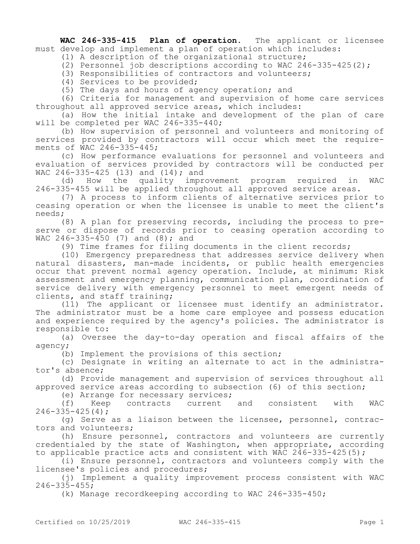**WAC 246-335-415 Plan of operation.** The applicant or licensee must develop and implement a plan of operation which includes:

(1) A description of the organizational structure;

(2) Personnel job descriptions according to WAC 246-335-425(2);

(3) Responsibilities of contractors and volunteers;

(4) Services to be provided;

(5) The days and hours of agency operation; and

(6) Criteria for management and supervision of home care services throughout all approved service areas, which includes:

(a) How the initial intake and development of the plan of care will be completed per WAC 246-335-440;

(b) How supervision of personnel and volunteers and monitoring of services provided by contractors will occur which meet the requirements of WAC 246-335-445;

(c) How performance evaluations for personnel and volunteers and evaluation of services provided by contractors will be conducted per WAC 246-335-425 (13) and (14); and

(d) How the quality improvement program required in WAC 246-335-455 will be applied throughout all approved service areas.

(7) A process to inform clients of alternative services prior to ceasing operation or when the licensee is unable to meet the client's needs;

(8) A plan for preserving records, including the process to preserve or dispose of records prior to ceasing operation according to WAC 246-335-450 (7) and  $(8)$ ; and

(9) Time frames for filing documents in the client records;

(10) Emergency preparedness that addresses service delivery when natural disasters, man-made incidents, or public health emergencies occur that prevent normal agency operation. Include, at minimum: Risk assessment and emergency planning, communication plan, coordination of service delivery with emergency personnel to meet emergent needs of clients, and staff training;

(11) The applicant or licensee must identify an administrator. The administrator must be a home care employee and possess education and experience required by the agency's policies. The administrator is responsible to:

(a) Oversee the day-to-day operation and fiscal affairs of the agency;

(b) Implement the provisions of this section;

(c) Designate in writing an alternate to act in the administrator's absence;

(d) Provide management and supervision of services throughout all approved service areas according to subsection (6) of this section;

(e) Arrange for necessary services;

(f) Keep contracts current and consistent with WAC  $246 - 335 - 425(4)$ ;

(g) Serve as a liaison between the licensee, personnel, contractors and volunteers;

(h) Ensure personnel, contractors and volunteers are currently credentialed by the state of Washington, when appropriate, according to applicable practice acts and consistent with WAC 246-335-425(5);

(i) Ensure personnel, contractors and volunteers comply with the licensee's policies and procedures;

(j) Implement a quality improvement process consistent with WAC 246-335-455;

(k) Manage recordkeeping according to WAC 246-335-450;